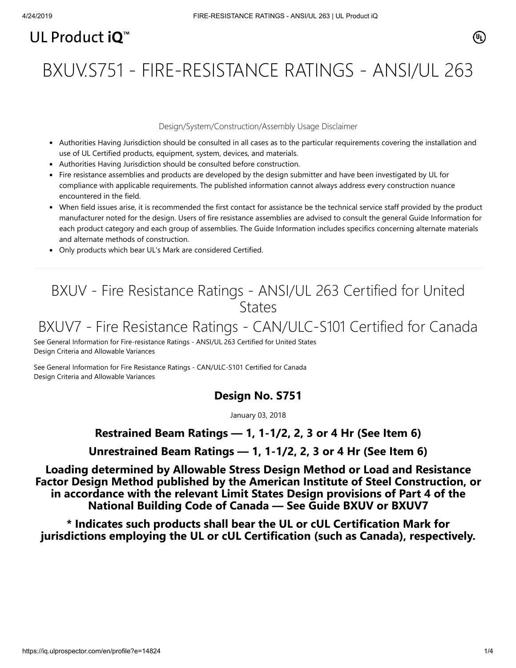## UL Product  $i\mathbf{O}^m$

# BXUV.S751 - FIRE-RESISTANCE RATINGS - ANSI/UL 263

#### Design/System/Construction/Assembly Usage Disclaimer

- Authorities Having Jurisdiction should be consulted in all cases as to the particular requirements covering the installation and use of UL Certified products, equipment, system, devices, and materials.
- Authorities Having Jurisdiction should be consulted before construction.
- Fire resistance assemblies and products are developed by the design submitter and have been investigated by UL for compliance with applicable requirements. The published information cannot always address every construction nuance encountered in the field.
- When field issues arise, it is recommended the first contact for assistance be the technical service staff provided by the product manufacturer noted for the design. Users of fire resistance assemblies are advised to consult the general Guide Information for each product category and each group of assemblies. The Guide Information includes specifics concerning alternate materials and alternate methods of construction.
- Only products which bear UL's Mark are considered Certified.

### BXUV - Fire Resistance Ratings - ANSI/UL 263 Certified for United **States**

### BXUV7 - Fire Resistance Ratings - CAN/ULC-S101 Certified for Canada

[See General Information for Fire-resistance Ratings - ANSI/UL 263 Certified for United States](https://iq.ulprospector.com/cgi-bin/XYV/template/LISEXT/1FRAME/showpage.html?name=BXUV.GuideInfo&ccnshorttitle=Fire-resistance+Ratings+-+ANSI/UL+263&objid=1074327030&cfgid=1073741824&version=versionless&parent_id=1073984818&sequence=1) Design Criteria and Allowable Variances

[See General Information for Fire Resistance Ratings - CAN/ULC-S101 Certified for Canada](https://iq.ulprospector.com/cgi-bin/XYV/template/LISEXT/1FRAME/showpage.html?name=BXUV7.GuideInfo&ccnshorttitle=Fire+Resistance+Ratings+-+CAN/ULC-S101+Certified+for+Canada&objid=1074205658&cfgid=1073741824&version=versionless&parent_id=1073984820&sequence=1) Design Criteria and Allowable Variances

#### **Design No. S751**

January 03, 2018

#### **Restrained Beam Ratings — 1, 1-1/2, 2, 3 or 4 Hr (See Item 6)**

**Unrestrained Beam Ratings — 1, 1-1/2, 2, 3 or 4 Hr (See Item 6)**

**Loading determined by Allowable Stress Design Method or Load and Resistance Factor Design Method published by the American Institute of Steel Construction, or in accordance with the relevant Limit States Design provisions of Part 4 of the National Building Code of Canada — See Guide [BXUV](http://database.ul.com/cgi-bin/XYV/template/LISEXT/1FRAME/showpage.html?name=BXUV.GuideInfo&ccnshorttitle=Fire-resistance+Ratings+-+ANSI/UL+263&objid=1074327030&cfgid=1073741824&version=versionless&parent_id=1073984818&sequence=1) or [BXUV7](http://database.ul.com/cgi-bin/XYV/template/LISEXT/1FRAME/showpage.html?name=BXUV7.GuideInfo&ccnshorttitle=Fire+Resistance+Ratings+-+CAN/ULC-S101M+Certified+for+Canada&objid=1074205658&cfgid=1073741824&version=versionless&parent_id=1073984820&sequence=1)**

**\* Indicates such products shall bear the UL or cUL Certification Mark for jurisdictions employing the UL or cUL Certification (such as Canada), respectively.**

 $(\mathbb{q})$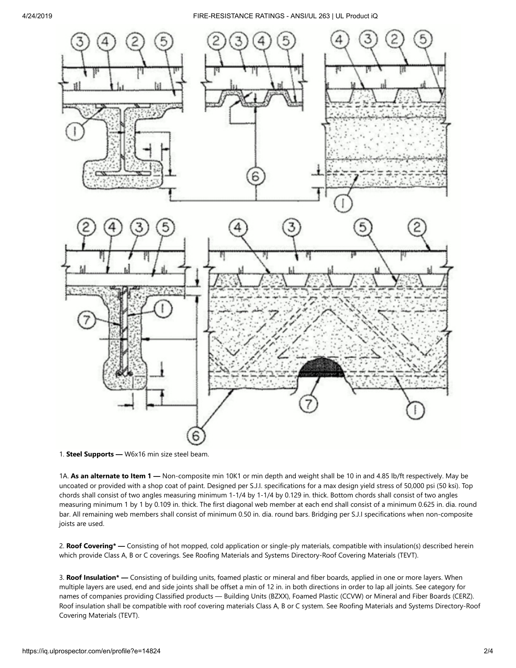4/24/2019 FIRE-RESISTANCE RATINGS - ANSI/UL 263 | UL Product iQ



<sup>1.</sup> **Steel Supports —** W6x16 min size steel beam.

1A. **As an alternate to Item 1 —** Non-composite min 10K1 or min depth and weight shall be 10 in and 4.85 lb/ft respectively. May be uncoated or provided with a shop coat of paint. Designed per S.J.I. specifications for a max design yield stress of 50,000 psi (50 ksi). Top chords shall consist of two angles measuring minimum 1-1/4 by 1-1/4 by 0.129 in. thick. Bottom chords shall consist of two angles measuring minimum 1 by 1 by 0.109 in. thick. The first diagonal web member at each end shall consist of a minimum 0.625 in. dia. round bar. All remaining web members shall consist of minimum 0.50 in. dia. round bars. Bridging per S.J.I specifications when non-composite joists are used.

2. **Roof Covering\* —** Consisting of hot mopped, cold application or single-ply materials, compatible with insulation(s) described herein which provide Class A, B or C coverings. See Roofing Materials and Systems Directory-Roof Covering Materials (TEVT).

3. **Roof Insulation\* —** Consisting of building units, foamed plastic or mineral and fiber boards, applied in one or more layers. When multiple layers are used, end and side joints shall be offset a min of 12 in. in both directions in order to lap all joints. See category for names of companies providing Classified products — Building Units (BZXX), Foamed Plastic (CCVW) or Mineral and Fiber Boards (CERZ). Roof insulation shall be compatible with roof covering materials Class A, B or C system. See Roofing Materials and Systems Directory-Roof Covering Materials (TEVT).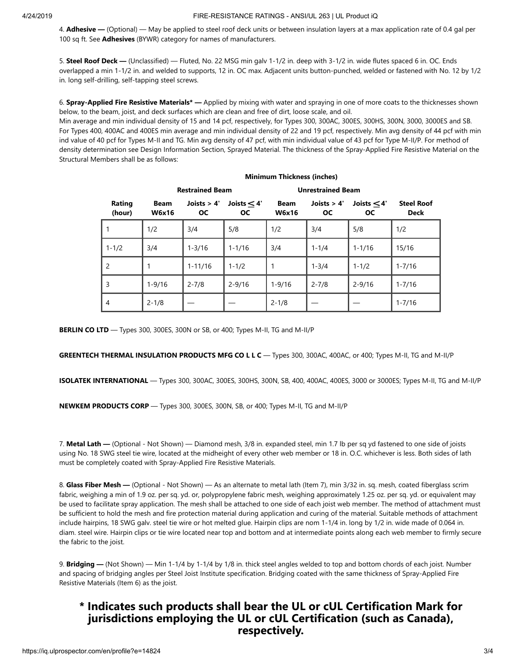4. **Adhesive —** (Optional) — May be applied to steel roof deck units or between insulation layers at a max application rate of 0.4 gal per 100 sq ft. See **Adhesives** (BYWR) category for names of manufacturers.

5. **Steel Roof Deck —** (Unclassified) — Fluted, No. 22 MSG min galv 1-1/2 in. deep with 3-1/2 in. wide flutes spaced 6 in. OC. Ends overlapped a min 1-1/2 in. and welded to supports, 12 in. OC max. Adjacent units button-punched, welded or fastened with No. 12 by 1/2 in. long self-drilling, self-tapping steel screws.

6. **Spray-Applied Fire Resistive Materials\* —** Applied by mixing with water and spraying in one of more coats to the thicknesses shown below, to the beam, joist, and deck surfaces which are clean and free of dirt, loose scale, and oil.

Min average and min individual density of 15 and 14 pcf, respectively, for Types 300, 300AC, 300ES, 300HS, 300N, 3000, 3000ES and SB. For Types 400, 400AC and 400ES min average and min individual density of 22 and 19 pcf, respectively. Min avg density of 44 pcf with min ind value of 40 pcf for Types M-II and TG. Min avg density of 47 pcf, with min individual value of 43 pcf for Type M-II/P. For method of density determination see Design Information Section, Sprayed Material. The thickness of the Spray-Applied Fire Resistive Material on the Structural Members shall be as follows:

**Minimum Thickness (inches)**

|                  | <b>WILLIAM LUCKINGS</b> (ILCHES) |                            |                            |                             |                            |                            |                                  |
|------------------|----------------------------------|----------------------------|----------------------------|-----------------------------|----------------------------|----------------------------|----------------------------------|
|                  | <b>Restrained Beam</b>           |                            |                            | <b>Unrestrained Beam</b>    |                            |                            |                                  |
| Rating<br>(hour) | <b>Beam</b><br><b>W6x16</b>      | Joists $> 4'$<br><b>OC</b> | Joists $<$ 4'<br><b>OC</b> | <b>Beam</b><br><b>W6x16</b> | Joists $> 4'$<br><b>OC</b> | Joists $<$ 4'<br><b>OC</b> | <b>Steel Roof</b><br><b>Deck</b> |
|                  | 1/2                              | 3/4                        | 5/8                        | 1/2                         | 3/4                        | 5/8                        | 1/2                              |
| $1 - 1/2$        | 3/4                              | $1 - 3/16$                 | $1 - 1/16$                 | 3/4                         | $1 - 1/4$                  | $1 - 1/16$                 | 15/16                            |
| 2                | 1                                | $1 - 11/16$                | $1 - 1/2$                  |                             | $1 - 3/4$                  | $1 - 1/2$                  | $1 - 7/16$                       |
| 3                | $1 - 9/16$                       | $2 - 7/8$                  | $2 - 9/16$                 | $1 - 9/16$                  | $2 - 7/8$                  | $2 - 9/16$                 | $1 - 7/16$                       |
| $\overline{4}$   | $2 - 1/8$                        |                            |                            | $2 - 1/8$                   |                            |                            | $1 - 7/16$                       |

**BERLIN CO LTD** — Types 300, 300ES, 300N or SB, or 400; Types M-II, TG and M-II/P

**GREENTECH THERMAL INSULATION PRODUCTS MFG CO L L C** — Types 300, 300AC, 400AC, or 400; Types M-II, TG and M-II/P

**ISOLATEK INTERNATIONAL** — Types 300, 300AC, 300ES, 300HS, 300N, SB, 400, 400AC, 400ES, 3000 or 3000ES; Types M-II, TG and M-II/P

**NEWKEM PRODUCTS CORP** — Types 300, 300ES, 300N, SB, or 400; Types M-II, TG and M-II/P

7. **Metal Lath —** (Optional - Not Shown) — Diamond mesh, 3/8 in. expanded steel, min 1.7 lb per sq yd fastened to one side of joists using No. 18 SWG steel tie wire, located at the midheight of every other web member or 18 in. O.C. whichever is less. Both sides of lath must be completely coated with Spray-Applied Fire Resistive Materials.

8. **Glass Fiber Mesh —** (Optional - Not Shown) — As an alternate to metal lath (Item 7), min 3/32 in. sq. mesh, coated fiberglass scrim fabric, weighing a min of 1.9 oz. per sq. yd. or, polypropylene fabric mesh, weighing approximately 1.25 oz. per sq. yd. or equivalent may be used to facilitate spray application. The mesh shall be attached to one side of each joist web member. The method of attachment must be sufficient to hold the mesh and fire protection material during application and curing of the material. Suitable methods of attachment include hairpins, 18 SWG galv. steel tie wire or hot melted glue. Hairpin clips are nom 1-1/4 in. long by 1/2 in. wide made of 0.064 in. diam. steel wire. Hairpin clips or tie wire located near top and bottom and at intermediate points along each web member to firmly secure the fabric to the joist.

9. **Bridging —** (Not Shown) — Min 1-1/4 by 1-1/4 by 1/8 in. thick steel angles welded to top and bottom chords of each joist. Number and spacing of bridging angles per Steel Joist Institute specification. Bridging coated with the same thickness of Spray-Applied Fire Resistive Materials (Item 6) as the joist.

### **\* Indicates such products shall bear the UL or cUL Certification Mark for jurisdictions employing the UL or cUL Certification (such as Canada), respectively.**